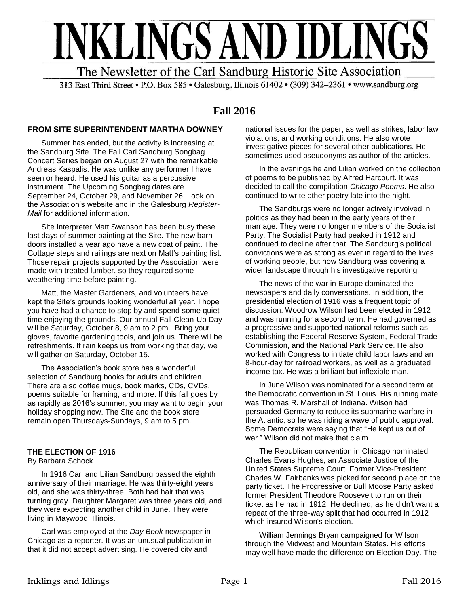# NKLINGS AND IDLINGS The Newsletter of the Carl Sandburg Historic Site Association

313 East Third Street • P.O. Box 585 • Galesburg, Illinois 61402 • (309) 342-2361 • www.sandburg.org

# **Fall 2016**

## **FROM SITE SUPERINTENDENT MARTHA DOWNEY**

Summer has ended, but the activity is increasing at the Sandburg Site. The Fall Carl Sandburg Songbag Concert Series began on August 27 with the remarkable Andreas Kaspalis. He was unlike any performer I have seen or heard. He used his guitar as a percussive instrument. The Upcoming Songbag dates are September 24, October 29, and November 26. Look on the Association's website and in the Galesburg *Register-Mail* for additional information.

Site Interpreter Matt Swanson has been busy these last days of summer painting at the Site. The new barn doors installed a year ago have a new coat of paint. The Cottage steps and railings are next on Matt's painting list. Those repair projects supported by the Association were made with treated lumber, so they required some weathering time before painting.

Matt, the Master Gardeners, and volunteers have kept the Site's grounds looking wonderful all year. I hope you have had a chance to stop by and spend some quiet time enjoying the grounds. Our annual Fall Clean-Up Day will be Saturday, October 8, 9 am to 2 pm. Bring your gloves, favorite gardening tools, and join us. There will be refreshments. If rain keeps us from working that day, we will gather on Saturday, October 15.

The Association's book store has a wonderful selection of Sandburg books for adults and children. There are also coffee mugs, book marks, CDs, CVDs, poems suitable for framing, and more. If this fall goes by as rapidly as 2016's summer, you may want to begin your holiday shopping now. The Site and the book store remain open Thursdays-Sundays, 9 am to 5 pm.

# **THE ELECTION OF 1916**

#### By Barbara Schock

In 1916 Carl and Lilian Sandburg passed the eighth anniversary of their marriage. He was thirty-eight years old, and she was thirty-three. Both had hair that was turning gray. Daughter Margaret was three years old, and they were expecting another child in June. They were living in Maywood, Illinois.

Carl was employed at the *Day Book* newspaper in Chicago as a reporter. It was an unusual publication in that it did not accept advertising. He covered city and

national issues for the paper, as well as strikes, labor law violations, and working conditions. He also wrote investigative pieces for several other publications. He sometimes used pseudonyms as author of the articles.

In the evenings he and Lilian worked on the collection of poems to be published by Alfred Harcourt. It was decided to call the compilation *Chicago Poems*. He also continued to write other poetry late into the night.

The Sandburgs were no longer actively involved in politics as they had been in the early years of their marriage. They were no longer members of the Socialist Party. The Socialist Party had peaked in 1912 and continued to decline after that. The Sandburg's political convictions were as strong as ever in regard to the lives of working people, but now Sandburg was covering a wider landscape through his investigative reporting.

The news of the war in Europe dominated the newspapers and daily conversations. In addition, the presidential election of 1916 was a frequent topic of discussion. Woodrow Wilson had been elected in 1912 and was running for a second term. He had governed as a progressive and supported national reforms such as establishing the Federal Reserve System, Federal Trade Commission, and the National Park Service. He also worked with Congress to initiate child labor laws and an 8-hour-day for railroad workers, as well as a graduated income tax. He was a brilliant but inflexible man.

In June Wilson was nominated for a second term at the Democratic convention in St. Louis. His running mate was Thomas R. Marshall of Indiana. Wilson had persuaded Germany to reduce its submarine warfare in the Atlantic, so he was riding a wave of public approval. Some Democrats were saying that "He kept us out of war." Wilson did not make that claim.

The Republican convention in Chicago nominated Charles Evans Hughes, an Associate Justice of the United States Supreme Court. Former Vice-President Charles W. Fairbanks was picked for second place on the party ticket. The Progressive or Bull Moose Party asked former President Theodore Roosevelt to run on their ticket as he had in 1912. He declined, as he didn't want a repeat of the three-way split that had occurred in 1912 which insured Wilson's election.

William Jennings Bryan campaigned for Wilson through the Midwest and Mountain States. His efforts may well have made the difference on Election Day. The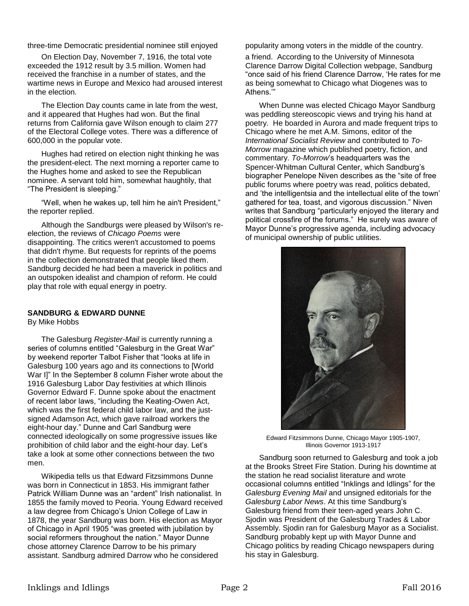three-time Democratic presidential nominee still enjoyed popularity among voters in the middle of the country.

On Election Day, November 7, 1916, the total vote exceeded the 1912 result by 3.5 million. Women had received the franchise in a number of states, and the wartime news in Europe and Mexico had aroused interest in the election.

The Election Day counts came in late from the west, and it appeared that Hughes had won. But the final returns from California gave Wilson enough to claim 277 of the Electoral College votes. There was a difference of 600,000 in the popular vote.

Hughes had retired on election night thinking he was the president-elect. The next morning a reporter came to the Hughes home and asked to see the Republican nominee. A servant told him, somewhat haughtily, that "The President is sleeping."

"Well, when he wakes up, tell him he ain't President," the reporter replied.

Although the Sandburgs were pleased by Wilson's reelection, the reviews of *Chicago Poems* were disappointing. The critics weren't accustomed to poems that didn't rhyme. But requests for reprints of the poems in the collection demonstrated that people liked them. Sandburg decided he had been a maverick in politics and an outspoken idealist and champion of reform. He could play that role with equal energy in poetry.

#### **SANDBURG & EDWARD DUNNE**

By Mike Hobbs

The Galesburg *Register-Mail* is currently running a series of columns entitled "Galesburg in the Great War" by weekend reporter Talbot Fisher that "looks at life in Galesburg 100 years ago and its connections to [World War I]" In the September 8 column Fisher wrote about the 1916 Galesburg Labor Day festivities at which Illinois Governor Edward F. Dunne spoke about the enactment of recent labor laws, "including the Keating-Owen Act, which was the first federal child labor law, and the justsigned Adamson Act, which gave railroad workers the eight-hour day." Dunne and Carl Sandburg were connected ideologically on some progressive issues like prohibition of child labor and the eight-hour day. Let's take a look at some other connections between the two men.

Wikipedia tells us that Edward Fitzsimmons Dunne was born in Connecticut in 1853. His immigrant father Patrick William Dunne was an "ardent" Irish nationalist. In 1855 the family moved to Peoria. Young Edward received a law degree from Chicago's Union College of Law in 1878, the year Sandburg was born. His election as Mayor of Chicago in April 1905 "was greeted with jubilation by social reformers throughout the nation." Mayor Dunne chose attorney Clarence Darrow to be his primary assistant. Sandburg admired Darrow who he considered

a friend. According to the University of Minnesota Clarence Darrow Digital Collection webpage, Sandburg "once said of his friend Clarence Darrow, 'He rates for me as being somewhat to Chicago what Diogenes was to Athens.'"

When Dunne was elected Chicago Mayor Sandburg was peddling stereoscopic views and trying his hand at poetry. He boarded in Aurora and made frequent trips to Chicago where he met A.M. Simons, editor of the *International Socialist Review* and contributed to *To-Morrow* magazine which published poetry, fiction, and commentary. *To-Morrow*'s headquarters was the Spencer-Whitman Cultural Center, which Sandburg's biographer Penelope Niven describes as the "site of free public forums where poetry was read, politics debated, and 'the intelligentsia and the intellectual elite of the town' gathered for tea, toast, and vigorous discussion." Niven writes that Sandburg "particularly enjoyed the literary and political crossfire of the forums." He surely was aware of Mayor Dunne's progressive agenda, including advocacy of municipal ownership of public utilities.



Edward Fitzsimmons Dunne, Chicago Mayor 1905-1907, Illinois Governor 1913-1917

Sandburg soon returned to Galesburg and took a job at the Brooks Street Fire Station. During his downtime at the station he read socialist literature and wrote occasional columns entitled "Inklings and Idlings" for the *Galesburg Evening Mail* and unsigned editorials for the *Galesburg Labor News*. At this time Sandburg's Galesburg friend from their teen-aged years John C. Sjodin was President of the Galesburg Trades & Labor Assembly. Sjodin ran for Galesburg Mayor as a Socialist. Sandburg probably kept up with Mayor Dunne and Chicago politics by reading Chicago newspapers during his stay in Galesburg.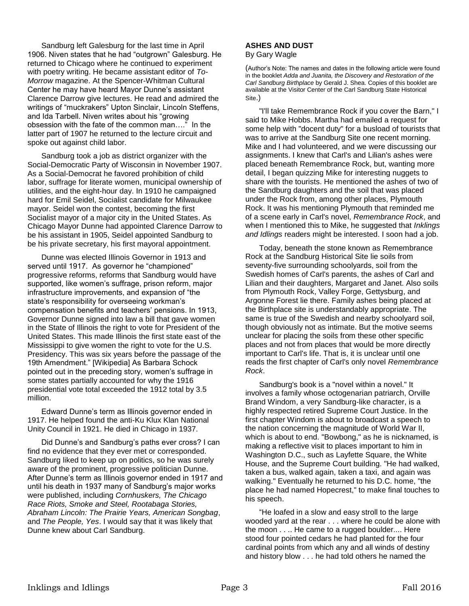Sandburg left Galesburg for the last time in April 1906. Niven states that he had "outgrown" Galesburg. He returned to Chicago where he continued to experiment with poetry writing. He became assistant editor of *To-Morrow* magazine. At the Spencer-Whitman Cultural Center he may have heard Mayor Dunne's assistant Clarence Darrow give lectures. He read and admired the writings of "muckrakers" Upton Sinclair, Lincoln Steffens, and Ida Tarbell. Niven writes about his "growing obsession with the fate of the common man…." In the latter part of 1907 he returned to the lecture circuit and spoke out against child labor.

Sandburg took a job as district organizer with the Social-Democratic Party of Wisconsin in November 1907. As a Social-Democrat he favored prohibition of child labor, suffrage for literate women, municipal ownership of utilities, and the eight-hour day. In 1910 he campaigned hard for Emil Seidel, Socialist candidate for Milwaukee mayor. Seidel won the contest, becoming the first Socialist mayor of a major city in the United States. As Chicago Mayor Dunne had appointed Clarence Darrow to be his assistant in 1905, Seidel appointed Sandburg to be his private secretary, his first mayoral appointment.

Dunne was elected Illinois Governor in 1913 and served until 1917. As governor he "championed" progressive reforms, reforms that Sandburg would have supported, like women's suffrage, prison reform, major infrastructure improvements, and expansion of "the state's responsibility for overseeing workman's compensation benefits and teachers' pensions. In 1913, Governor Dunne signed into law a bill that gave women in the State of Illinois the right to vote for President of the United States. This made Illinois the first state east of the Mississippi to give women the right to vote for the U.S. Presidency. This was six years before the passage of the 19th Amendment." [Wikipedia] As Barbara Schock pointed out in the preceding story, women's suffrage in some states partially accounted for why the 1916 presidential vote total exceeded the 1912 total by 3.5 million.

Edward Dunne's term as Illinois governor ended in 1917. He helped found the anti-Ku Klux Klan National Unity Council in 1921. He died in Chicago in 1937.

Did Dunne's and Sandburg's paths ever cross? I can find no evidence that they ever met or corresponded. Sandburg liked to keep up on politics, so he was surely aware of the prominent, progressive politician Dunne. After Dunne's term as Illinois governor ended in 1917 and until his death in 1937 many of Sandburg's major works were published, including *Cornhuskers, The Chicago Race Riots, Smoke and Steel, Rootabaga Stories, Abraham Lincoln: The Prairie Years, American Songbag*, and *The People, Yes*. I would say that it was likely that Dunne knew about Carl Sandburg.

# **ASHES AND DUST**

#### By Gary Wagle

(Author's Note: The names and dates in the following article were found in the booklet *Adda and Juanita, the Discovery and Restoration of the Carl Sandburg Birthplace* by Gerald J. Shea. Copies of this booklet are available at the Visitor Center of the Carl Sandburg State Historical Site.)

"I'll take Remembrance Rock if you cover the Barn," I said to Mike Hobbs. Martha had emailed a request for some help with "docent duty" for a busload of tourists that was to arrive at the Sandburg Site one recent morning. Mike and I had volunteered, and we were discussing our assignments. I knew that Carl's and Lilian's ashes were placed beneath Remembrance Rock, but, wanting more detail, I began quizzing Mike for interesting nuggets to share with the tourists. He mentioned the ashes of two of the Sandburg daughters and the soil that was placed under the Rock from, among other places, Plymouth Rock. It was his mentioning Plymouth that reminded me of a scene early in Carl's novel, *Remembrance Rock*, and when I mentioned this to Mike, he suggested that *Inklings and Idlings* readers might be interested. I soon had a job.

Today, beneath the stone known as Remembrance Rock at the Sandburg Historical Site lie soils from seventy-five surrounding schoolyards, soil from the Swedish homes of Carl's parents, the ashes of Carl and Lilian and their daughters, Margaret and Janet. Also soils from Plymouth Rock, Valley Forge, Gettysburg, and Argonne Forest lie there. Family ashes being placed at the Birthplace site is understandably appropriate. The same is true of the Swedish and nearby schoolyard soil, though obviously not as intimate. But the motive seems unclear for placing the soils from these other specific places and not from places that would be more directly important to Carl's life. That is, it is unclear until one reads the first chapter of Carl's only novel *Remembrance Rock*.

Sandburg's book is a "novel within a novel." It involves a family whose octogenarian patriarch, Orville Brand Windom, a very Sandburg-like character, is a highly respected retired Supreme Court Justice. In the first chapter Windom is about to broadcast a speech to the nation concerning the magnitude of World War II, which is about to end. "Bowbong," as he is nicknamed, is making a reflective visit to places important to him in Washington D.C., such as Layfette Square, the White House, and the Supreme Court building. "He had walked, taken a bus, walked again, taken a taxi, and again was walking." Eventually he returned to his D.C. home, "the place he had named Hopecrest," to make final touches to his speech.

"He loafed in a slow and easy stroll to the large wooded yard at the rear . . . where he could be alone with the moon . . .. He came to a rugged boulder.... Here stood four pointed cedars he had planted for the four cardinal points from which any and all winds of destiny and history blow . . . he had told others he named the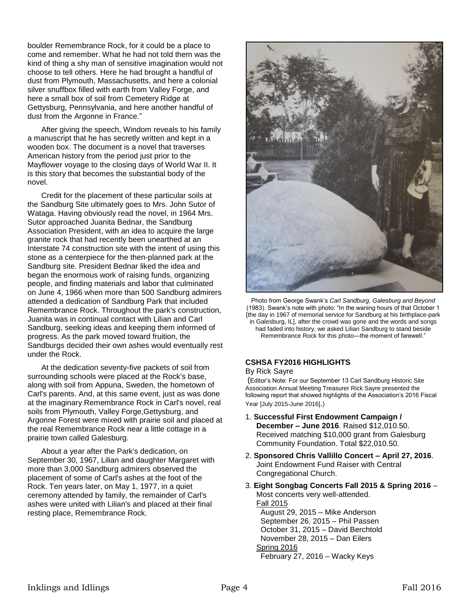boulder Remembrance Rock, for it could be a place to come and remember. What he had not told them was the kind of thing a shy man of sensitive imagination would not choose to tell others. Here he had brought a handful of dust from Plymouth, Massachusetts, and here a colonial silver snuffbox filled with earth from Valley Forge, and here a small box of soil from Cemetery Ridge at Gettysburg, Pennsylvania, and here another handful of dust from the Argonne in France."

After giving the speech, Windom reveals to his family a manuscript that he has secretly written and kept in a wooden box. The document is a novel that traverses American history from the period just prior to the Mayflower voyage to the closing days of World War II. It is this story that becomes the substantial body of the novel.

Credit for the placement of these particular soils at the Sandburg Site ultimately goes to Mrs. John Sutor of Wataga. Having obviously read the novel, in 1964 Mrs. Sutor approached Juanita Bednar, the Sandburg Association President, with an idea to acquire the large granite rock that had recently been unearthed at an Interstate 74 construction site with the intent of using this stone as a centerpiece for the then-planned park at the Sandburg site. President Bednar liked the idea and began the enormous work of raising funds, organizing people, and finding materials and labor that culminated on June 4, 1966 when more than 500 Sandburg admirers attended a dedication of Sandburg Park that included Remembrance Rock. Throughout the park's construction, Juanita was in continual contact with Lilian and Carl Sandburg, seeking ideas and keeping them informed of progress. As the park moved toward fruition, the Sandburgs decided their own ashes would eventually rest under the Rock.

At the dedication seventy-five packets of soil from surrounding schools were placed at the Rock's base, along with soil from Appuna, Sweden, the hometown of Carl's parents. And, at this same event, just as was done at the imaginary Remembrance Rock in Carl's novel, real soils from Plymouth, Valley Forge,Gettysburg, and Argonne Forest were mixed with prairie soil and placed at the real Remembrance Rock near a little cottage in a prairie town called Galesburg.

About a year after the Park's dedication, on September 30, 1967, Lilian and daughter Margaret with more than 3,000 Sandburg admirers observed the placement of some of Carl's ashes at the foot of the Rock. Ten years later, on May 1, 1977, in a quiet ceremony attended by family, the remainder of Carl's ashes were united with Lilian's and placed at their final resting place, Remembrance Rock.



Photo from George Swank's *Carl Sandburg, Galesburg and Beyond*  (1983). Swank's note with photo: "In the waning hours of that October 1 [the day in 1967 of memorial service for Sandburg at his birthplace-park in Galesburg, IL], after the crowd was gone and the words and songs had faded into history, we asked Lilian Sandburg to stand beside Remembrance Rock for this photo—the moment of farewell."

# **CSHSA FY2016 HIGHLIGHTS**

#### By Rick Sayre

(Editor's Note: For our September 13 Carl Sandburg Historic Site Association Annual Meeting Treasurer Rick Sayre presented the following report that showed highlights of the Association's 2016 Fiscal Year [July 2015-June 2016].)

- 1. **Successful First Endowment Campaign / December – June 2016**. Raised \$12,010.50. Received matching \$10,000 grant from Galesburg Community Foundation. Total \$22,010.50.
- 2. **Sponsored Chris Vallillo Concert – April 27, 2016**. Joint Endowment Fund Raiser with Central Congregational Church.
- 3. **Eight Songbag Concerts Fall 2015 & Spring 2016** Most concerts very well-attended. Fall 2015 August 29, 2015 – Mike Anderson September 26, 2015 – Phil Passen

 October 31, 2015 – David Berchtold November 28, 2015 – Dan Eilers Spring 2016 February 27, 2016 – Wacky Keys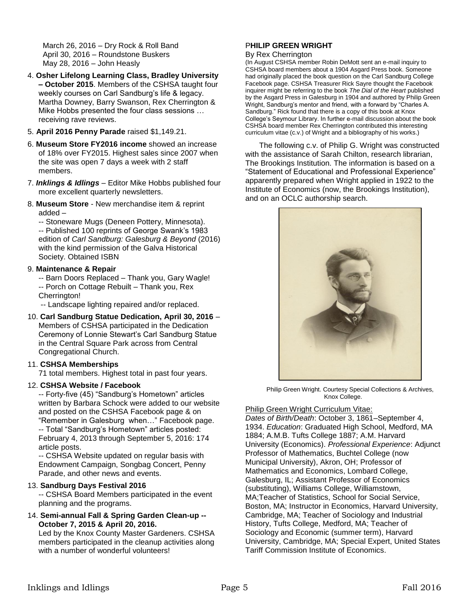March 26, 2016 – Dry Rock & Roll Band April 30, 2016 – Roundstone Buskers May 28, 2016 – John Heasly

- 4. **Osher Lifelong Learning Class, Bradley University – October 2015**. Members of the CSHSA taught four weekly courses on Carl Sandburg's life & legacy. Martha Downey, Barry Swanson, Rex Cherrington & Mike Hobbs presented the four class sessions … receiving rave reviews.
- 5. **April 2016 Penny Parade** raised \$1,149.21.
- 6. **Museum Store FY2016 income** showed an increase of 18% over FY2015. Highest sales since 2007 when the site was open 7 days a week with 2 staff members.
- 7. *Inklings & Idlings* Editor Mike Hobbs published four more excellent quarterly newsletters.
- 8. **Museum Store** New merchandise item & reprint added –

-- Stoneware Mugs (Deneen Pottery, Minnesota). -- Published 100 reprints of George Swank's 1983 edition of *Carl Sandburg: Galesburg & Beyond* (2016) with the kind permission of the Galva Historical Society. Obtained ISBN

## 9. **Maintenance & Repair**

-- Barn Doors Replaced – Thank you, Gary Wagle! -- Porch on Cottage Rebuilt – Thank you, Rex Cherrington!

-- Landscape lighting repaired and/or replaced.

10. **Carl Sandburg Statue Dedication, April 30, 2016** – Members of CSHSA participated in the Dedication Ceremony of Lonnie Stewart's Carl Sandburg Statue in the Central Square Park across from Central Congregational Church.

#### 11. **CSHSA Memberships**

71 total members. Highest total in past four years.

#### 12. **CSHSA Website / Facebook**

-- Forty-five (45) "Sandburg's Hometown" articles written by Barbara Schock were added to our website and posted on the CSHSA Facebook page & on "Remember in Galesburg when…" Facebook page. -- Total "Sandburg's Hometown" articles posted: February 4, 2013 through September 5, 2016: 174 article posts.

-- CSHSA Website updated on regular basis with Endowment Campaign, Songbag Concert, Penny Parade, and other news and events.

#### 13. **Sandburg Days Festival 2016**

-- CSHSA Board Members participated in the event planning and the programs.

14. **Semi-annual Fall & Spring Garden Clean-up -- October 7, 2015 & April 20, 2016.** 

Led by the Knox County Master Gardeners. CSHSA members participated in the cleanup activities along with a number of wonderful volunteers!

# P**HILIP GREEN WRIGHT**

#### By Rex Cherrington

(In August CSHSA member Robin DeMott sent an e-mail inquiry to CSHSA board members about a 1904 Asgard Press book. Someone had originally placed the book question on the Carl Sandburg College Facebook page. CSHSA Treasurer Rick Sayre thought the Facebook inquirer might be referring to the book *The Dial of the Heart* published by the Asgard Press in Galesburg in 1904 and authored by Philip Green Wright, Sandburg's mentor and friend, with a forward by "Charles A. Sandburg." Rick found that there is a copy of this book at Knox College's Seymour Library. In further e-mail discussion about the book CSHSA board member Rex Cherrington contributed this interesting curriculum vitae (c.v.) of Wright and a bibliography of his works.)

The following c.v. of Philip G. Wright was constructed with the assistance of Sarah Chilton, research librarian, The Brookings Institution. The information is based on a "Statement of Educational and Professional Experience" apparently prepared when Wright applied in 1922 to the Institute of Economics (now, the Brookings Institution), and on an OCLC authorship search.



Philip Green Wright. Courtesy Special Collections & Archives, Knox College.

Philip Green Wright Curriculum Vitae:

*Dates of Birth/Death*: October 3, 1861–September 4, 1934. *Education*: Graduated High School, Medford, MA 1884; A.M.B. Tufts College 1887; A.M. Harvard University (Economics). *Professional Experience*: Adjunct Professor of Mathematics, Buchtel College (now Municipal University), Akron, OH; Professor of Mathematics and Economics, Lombard College, Galesburg, IL; Assistant Professor of Economics (substituting), Williams College, Williamstown, MA;Teacher of Statistics, School for Social Service, Boston, MA; Instructor in Economics, Harvard University, Cambridge, MA; Teacher of Sociology and Industrial History, Tufts College, Medford, MA; Teacher of Sociology and Economic (summer term), Harvard University, Cambridge, MA; Special Expert, United States Tariff Commission Institute of Economics.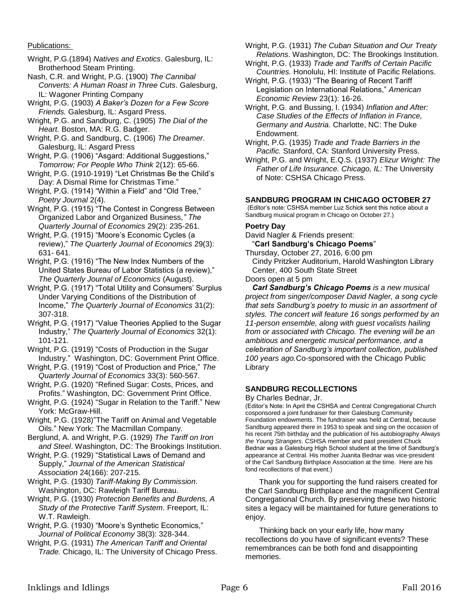Publications:

Wright, P.G.(1894) *Natives and Exotics*. Galesburg, IL: Brotherhood Steam Printing.

Nash, C.R. and Wright, P.G. (1900) *The Cannibal Converts: A Human Roast in Three Cuts*. Galesburg, IL: Wagoner Printing Company

Wright, P.G. (1903) *A Baker's Dozen for a Few Score Friends.* Galesburg, IL: Asgard Press.

Wright, P.G. and Sandburg, C. (1905) *The Dial of the Heart.* Boston, MA: R.G. Badger.

Wright, P.G. and Sandburg, C. (1906) *The Dreamer*. Galesburg, IL: Asgard Press

Wright, P.G. (1906) "Asgard: Additional Suggestions," *Tomorrow; For People Who Think* 2(12): 65-66.

Wright, P.G. (1910-1919) "Let Christmas Be the Child's Day: A Dismal Rime for Christmas Time."

Wright, P.G. (1914) "Within a Field" and "Old Tree," *Poetry Journal* 2(4).

Wright, P.G. (1915) "The Contest in Congress Between Organized Labor and Organized Business*," The Quarterly Journal of Economics* 29(2): 235-261.

Wright, P.G. (1915) "Moore's Economic Cycles (a review)," *The Quarterly Journal of Economics* 29(3): 631- 641.

Wright, P.G. (1916) "The New Index Numbers of the United States Bureau of Labor Statistics (a review)," *The Quarterly Journal of Economics* (August).

Wright, P.G. (1917) "Total Utility and Consumers' Surplus Under Varying Conditions of the Distribution of Income," *The Quarterly Journal of Economics* 31(2): 307-318.

Wright, P.G. (1917) "Value Theories Applied to the Sugar Industry," *The Quarterly Journal of Economics* 32(1): 101-121.

Wright, P.G. (1919) "Costs of Production in the Sugar Industry." Washington, DC: Government Print Office.

Wright, P.G. (1919) "Cost of Production and Price," *The Quarterly Journal of Economics* 33(3): 560-567.

Wright, P.G. (1920) "Refined Sugar: Costs, Prices, and Profits." Washington, DC: Government Print Office.

Wright, P.G. (1924) "Sugar in Relation to the Tariff." New York: McGraw-Hill.

Wright, P.G. (1928)"The Tariff on Animal and Vegetable Oils." New York: The Macmillan Company.

Berglund, A. and Wright, P.G. (1929) *The Tariff on Iron and Steel*. Washington, DC: The Brookings Institution.

Wright, P.G. (1929) "Statistical Laws of Demand and Supply," *Journal of the American Statistical Association* 24(166): 207-215.

Wright, P.G. (1930) *Tariff-Making By Commission*. Washington, DC: Rawleigh Tariff Bureau.

Wright, P.G. (1930) *Protection Benefits and Burdens, A Study of the Protective Tariff System*. Freeport, IL: W.T. Rawleigh.

Wright, P.G. (1930) "Moore's Synthetic Economics," *Journal of Political Economy* 38(3): 328-344.

Wright, P.G. (1931) *The American Tariff and Oriental Trade.* Chicago, IL: The University of Chicago Press. Wright, P.G. (1931) *The Cuban Situation and Our Treaty Relations*. Washington, DC: The Brookings Institution.

Wright, P.G. (1933) *Trade and Tariffs of Certain Pacific Countries.* Honolulu, HI: Institute of Pacific Relations.

Wright, P.G. (1933) "The Bearing of Recent Tariff Legislation on International Relations," *American Economic Review* 23(1): 16-26.

Wright, P.G. and Bussing, I. (1934) *Inflation and After: Case Studies of the Effects of Inflation in France, Germany and Austria.* Charlotte, NC: The Duke Endowment.

Wright, P.G. (1935) *Trade and Trade Barriers in the Pacific.* Stanford, CA: Stanford University Press.

Wright, P.G. and Wright, E.Q.S. (1937) *Elizur Wright: The Father of Life Insurance. Chicago, IL:* The University of Note: CSHSA Chicago Press.

#### **SANDBURG PROGRAM IN CHICAGO OCTOBER 27**

(Editor's note: CSHSA member Luz Schick sent this notice about a Sandburg musical program in Chicago on October 27.)

## **Poetry Day**

David Nagler & Friends present: "**Carl Sandburg's Chicago Poems**"

Thursday, October 27, 2016, 6:00 pm Cindy Pritzker Auditorium, Harold Washington Library Center, 400 South State Street

Doors open at 5 pm

*Carl Sandburg's Chicago Poems is a new musical project from singer/composer David Nagler, a song cycle that sets Sandburg's poetry to music in an assortment of styles. The concert will feature 16 songs performed by an 11-person ensemble, along with guest vocalists hailing from or associated with Chicago. The evening will be an ambitious and energetic musical performance, and a celebration of Sandburg's important collection, published 100 years ago.*Co-sponsored with the Chicago Public Library

# **SANDBURG RECOLLECTIONS**

By Charles Bednar, Jr.

(Editor's Note: In April the CSHSA and Central Congregational Church cosponsored a joint fundraiser for their Galesburg Community Foundation endowments. The fundraiser was held at Central, because Sandburg appeared there in 1953 to speak and sing on the occasion of his recent 75th birthday and the publication of his autobiography *Always the Young Strangers*. CSHSA member and past president Chuck Bednar was a Galesburg High School student at the time of Sandburg's appearance at Central. His mother Juanita Bednar was vice-president of the Carl Sandburg Birthplace Association at the time. Here are his fond recollections of that event.)

Thank you for supporting the fund raisers created for the Carl Sandburg Birthplace and the magnificent Central Congregational Church. By preserving these two historic sites a legacy will be maintained for future generations to enjoy.

Thinking back on your early life, how many recollections do you have of significant events? These remembrances can be both fond and disappointing memories.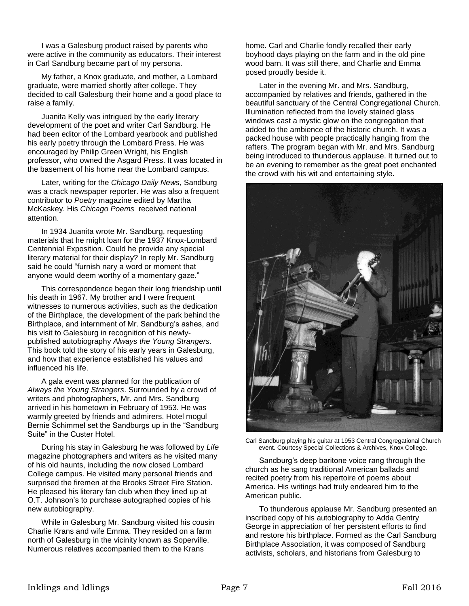I was a Galesburg product raised by parents who were active in the community as educators. Their interest in Carl Sandburg became part of my persona.

My father, a Knox graduate, and mother, a Lombard graduate, were married shortly after college. They decided to call Galesburg their home and a good place to raise a family.

Juanita Kelly was intrigued by the early literary development of the poet and writer Carl Sandburg. He had been editor of the Lombard yearbook and published his early poetry through the Lombard Press. He was encouraged by Philip Green Wright, his English professor, who owned the Asgard Press. It was located in the basement of his home near the Lombard campus.

Later, writing for the *Chicago Daily News*, Sandburg was a crack newspaper reporter. He was also a frequent contributor to *Poetry* magazine edited by Martha McKaskey. His *Chicago Poems* received national attention.

In 1934 Juanita wrote Mr. Sandburg, requesting materials that he might loan for the 1937 Knox-Lombard Centennial Exposition. Could he provide any special literary material for their display? In reply Mr. Sandburg said he could "furnish nary a word or moment that anyone would deem worthy of a momentary gaze."

This correspondence began their long friendship until his death in 1967. My brother and I were frequent witnesses to numerous activities, such as the dedication of the Birthplace, the development of the park behind the Birthplace, and internment of Mr. Sandburg's ashes, and his visit to Galesburg in recognition of his newlypublished autobiography *Always the Young Strangers*. This book told the story of his early years in Galesburg, and how that experience established his values and influenced his life.

A gala event was planned for the publication of *Always the Young Strangers*. Surrounded by a crowd of writers and photographers, Mr. and Mrs. Sandburg arrived in his hometown in February of 1953. He was warmly greeted by friends and admirers. Hotel mogul Bernie Schimmel set the Sandburgs up in the "Sandburg Suite" in the Custer Hotel.

During his stay in Galesburg he was followed by *Life* magazine photographers and writers as he visited many of his old haunts, including the now closed Lombard College campus. He visited many personal friends and surprised the firemen at the Brooks Street Fire Station. He pleased his literary fan club when they lined up at O.T. Johnson's to purchase autographed copies of his new autobiography.

While in Galesburg Mr. Sandburg visited his cousin Charlie Krans and wife Emma. They resided on a farm north of Galesburg in the vicinity known as Soperville. Numerous relatives accompanied them to the Krans

home. Carl and Charlie fondly recalled their early boyhood days playing on the farm and in the old pine wood barn. It was still there, and Charlie and Emma posed proudly beside it.

Later in the evening Mr. and Mrs. Sandburg, accompanied by relatives and friends, gathered in the beautiful sanctuary of the Central Congregational Church. Illumination reflected from the lovely stained glass windows cast a mystic glow on the congregation that added to the ambience of the historic church. It was a packed house with people practically hanging from the rafters. The program began with Mr. and Mrs. Sandburg being introduced to thunderous applause. It turned out to be an evening to remember as the great poet enchanted the crowd with his wit and entertaining style.



Carl Sandburg playing his guitar at 1953 Central Congregational Church event. Courtesy Special Collections & Archives, Knox College.

Sandburg's deep baritone voice rang through the church as he sang traditional American ballads and recited poetry from his repertoire of poems about America. His writings had truly endeared him to the American public.

To thunderous applause Mr. Sandburg presented an inscribed copy of his autobiography to Adda Gentry George in appreciation of her persistent efforts to find and restore his birthplace. Formed as the Carl Sandburg Birthplace Association, it was composed of Sandburg activists, scholars, and historians from Galesburg to